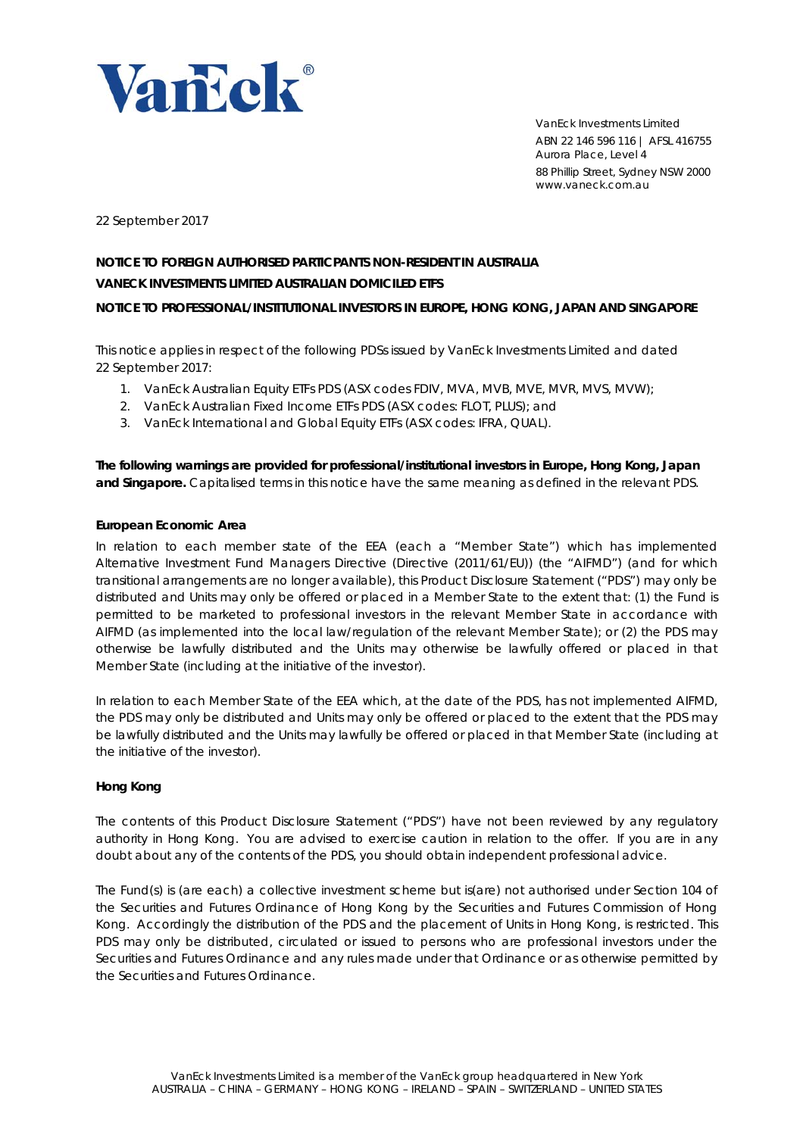

VanEck Investments Limited ABN 22 146 596 116 | AFSL 416755 Aurora Place, Level 4 88 Phillip Street, Sydney NSW 2000 www.vaneck.com.au

22 September 2017

# **NOTICE TO FOREIGN AUTHORISED PARTICPANTS NON-RESIDENT IN AUSTRALIA VANECK INVESTMENTS LIMITED AUSTRALIAN DOMICILED ETFS NOTICE TO PROFESSIONAL/INSTITUTIONAL INVESTORS IN EUROPE, HONG KONG, JAPAN AND SINGAPORE**

This notice applies in respect of the following PDSs issued by VanEck Investments Limited and dated 22 September 2017:

- 1. VanEck Australian Equity ETFs PDS (ASX codes FDIV, MVA, MVB, MVE, MVR, MVS, MVW);
- 2. VanEck Australian Fixed Income ETFs PDS (ASX codes: FLOT, PLUS); and
- 3. VanEck International and Global Equity ETFs (ASX codes: IFRA, QUAL).

**The following warnings are provided for professional/institutional investors in Europe, Hong Kong, Japan and Singapore.** Capitalised terms in this notice have the same meaning as defined in the relevant PDS.

## **European Economic Area**

In relation to each member state of the EEA (each a "Member State") which has implemented Alternative Investment Fund Managers Directive (Directive (2011/61/EU)) (the "AIFMD") (and for which transitional arrangements are no longer available), this Product Disclosure Statement ("PDS") may only be distributed and Units may only be offered or placed in a Member State to the extent that: (1) the Fund is permitted to be marketed to professional investors in the relevant Member State in accordance with AIFMD (as implemented into the local law/regulation of the relevant Member State); or (2) the PDS may otherwise be lawfully distributed and the Units may otherwise be lawfully offered or placed in that Member State (including at the initiative of the investor).

In relation to each Member State of the EEA which, at the date of the PDS, has not implemented AIFMD, the PDS may only be distributed and Units may only be offered or placed to the extent that the PDS may be lawfully distributed and the Units may lawfully be offered or placed in that Member State (including at the initiative of the investor).

## **Hong Kong**

The contents of this Product Disclosure Statement ("PDS") have not been reviewed by any regulatory authority in Hong Kong. You are advised to exercise caution in relation to the offer. If you are in any doubt about any of the contents of the PDS, you should obtain independent professional advice.

The Fund(s) is (are each) a collective investment scheme but is(are) not authorised under Section 104 of the Securities and Futures Ordinance of Hong Kong by the Securities and Futures Commission of Hong Kong. Accordingly the distribution of the PDS and the placement of Units in Hong Kong, is restricted. This PDS may only be distributed, circulated or issued to persons who are professional investors under the Securities and Futures Ordinance and any rules made under that Ordinance or as otherwise permitted by the Securities and Futures Ordinance.